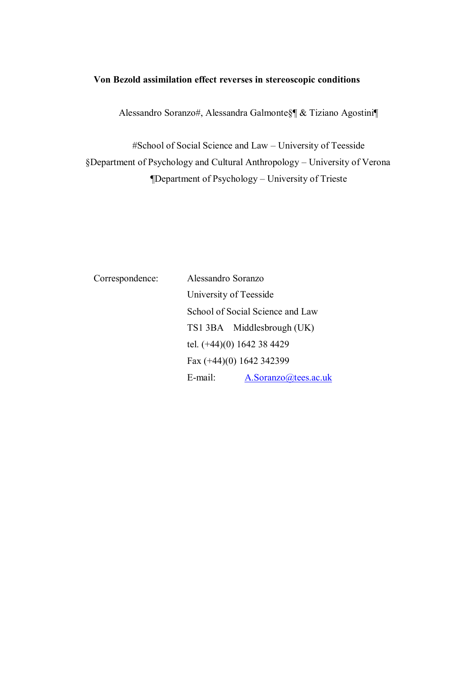# **Von Bezold assimilation effect reverses in stereoscopic conditions**

Alessandro Soranzo#, Alessandra Galmonte§¶ & Tiziano Agostini¶

#School of Social Science and Law – University of Teesside §Department of Psychology and Cultural Anthropology – University of Verona ¶Department of Psychology – University of Trieste

| Correspondence: | Alessandro Soranzo               |
|-----------------|----------------------------------|
|                 | University of Teesside           |
|                 | School of Social Science and Law |
|                 | TS1 3BA Middlesbrough (UK)       |
|                 | tel. (+44)(0) 1642 38 4429       |
|                 | Fax (+44)(0) 1642 342399         |
|                 | A.Soranzo@tees.ac.uk<br>E-mail:  |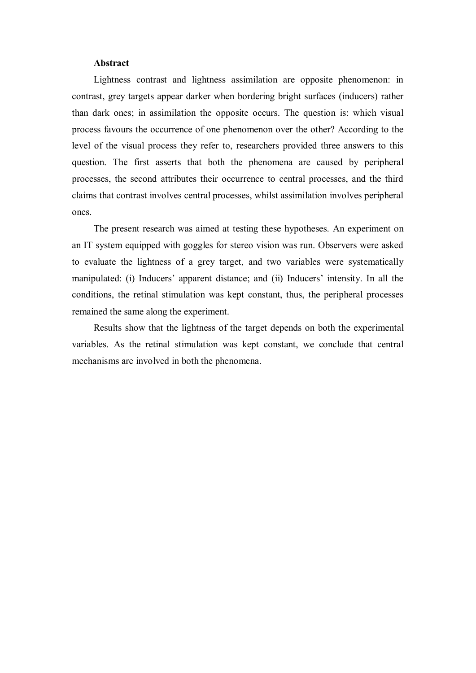#### **Abstract**

Lightness contrast and lightness assimilation are opposite phenomenon: in contrast, grey targets appear darker when bordering bright surfaces (inducers) rather than dark ones; in assimilation the opposite occurs. The question is: which visual process favours the occurrence of one phenomenon over the other? According to the level of the visual process they refer to, researchers provided three answers to this question. The first asserts that both the phenomena are caused by peripheral processes, the second attributes their occurrence to central processes, and the third claims that contrast involves central processes, whilst assimilation involves peripheral ones.

The present research was aimed at testing these hypotheses. An experiment on an IT system equipped with goggles for stereo vision was run. Observers were asked to evaluate the lightness of a grey target, and two variables were systematically manipulated: (i) Inducers' apparent distance; and (ii) Inducers' intensity. In all the conditions, the retinal stimulation was kept constant, thus, the peripheral processes remained the same along the experiment.

Results show that the lightness of the target depends on both the experimental variables. As the retinal stimulation was kept constant, we conclude that central mechanisms are involved in both the phenomena.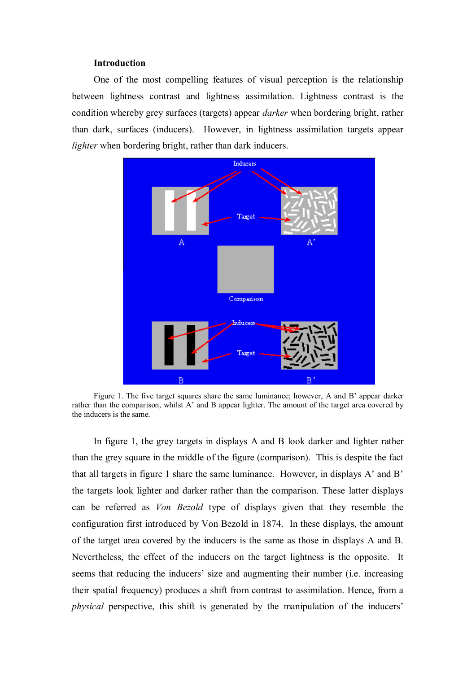#### **Introduction**

One of the most compelling features of visual perception is the relationship between lightness contrast and lightness assimilation. Lightness contrast is the condition whereby grey surfaces (targets) appear *darker* when bordering bright, rather than dark, surfaces (inducers). However, in lightness assimilation targets appear *lighter* when bordering bright, rather than dark inducers.



Figure 1. The five target squares share the same luminance; however, A and B' appear darker rather than the comparison, whilst A' and B appear lighter. The amount of the target area covered by the inducers is the same.

In figure 1, the grey targets in displays A and B look darker and lighter rather than the grey square in the middle of the figure (comparison). This is despite the fact that all targets in figure 1 share the same luminance. However, in displays A' and B' the targets look lighter and darker rather than the comparison. These latter displays can be referred as *Von Bezold* type of displays given that they resemble the configuration first introduced by Von Bezold in 1874. In these displays, the amount of the target area covered by the inducers is the same as those in displays A and B. Nevertheless, the effect of the inducers on the target lightness is the opposite. It seems that reducing the inducers' size and augmenting their number (i.e. increasing their spatial frequency) produces a shift from contrast to assimilation. Hence, from a *physical* perspective, this shift is generated by the manipulation of the inducers'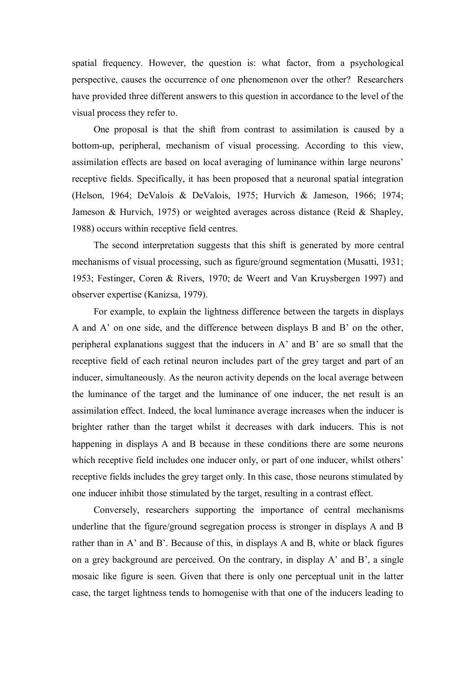spatial frequency. However, the question is: what factor, from a psychological perspective, causes the occurrence of one phenomenon over the other? Researchers have provided three different answers to this question in accordance to the level of the visual process they refer to.

One proposal is that the shift from contrast to assimilation is caused by a bottom-up, peripheral, mechanism of visual processing. According to this view, assimilation effects are based on local averaging of luminance within large neurons' receptive fields. Specifically, it has been proposed that a neuronal spatial integration (Helson, 1964; DeValois & DeValois, 1975; Hurvich & Jameson, 1966; 1974; Jameson & Hurvich, 1975) or weighted averages across distance (Reid & Shapley, 1988) occurs within receptive field centres.

The second interpretation suggests that this shift is generated by more central mechanisms of visual processing, such as figure/ground segmentation (Musatti, 1931; 1953; Festinger, Coren & Rivers, 1970; de Weert and Van Kruysbergen 1997) and observer expertise (Kanizsa, 1979).

For example, to explain the lightness difference between the targets in displays A and A' on one side, and the difference between displays B and B' on the other, peripheral explanations suggest that the inducers in A' and B' are so small that the receptive field of each retinal neuron includes part of the grey target and part of an inducer, simultaneously. As the neuron activity depends on the local average between the luminance of the target and the luminance of one inducer, the net result is an assimilation effect. Indeed, the local luminance average increases when the inducer is brighter rather than the target whilst it decreases with dark inducers. This is not happening in displays A and B because in these conditions there are some neurons which receptive field includes one inducer only, or part of one inducer, whilst others' receptive fields includes the grey target only. In this case, those neurons stimulated by one inducer inhibit those stimulated by the target, resulting in a contrast effect.

Conversely, researchers supporting the importance of central mechanisms underline that the figure/ground segregation process is stronger in displays A and B rather than in A' and B'. Because of this, in displays A and B, white or black figures on a grey background are perceived. On the contrary, in display A' and B', a single mosaic like figure is seen. Given that there is only one perceptual unit in the latter case, the target lightness tends to homogenise with that one of the inducers leading to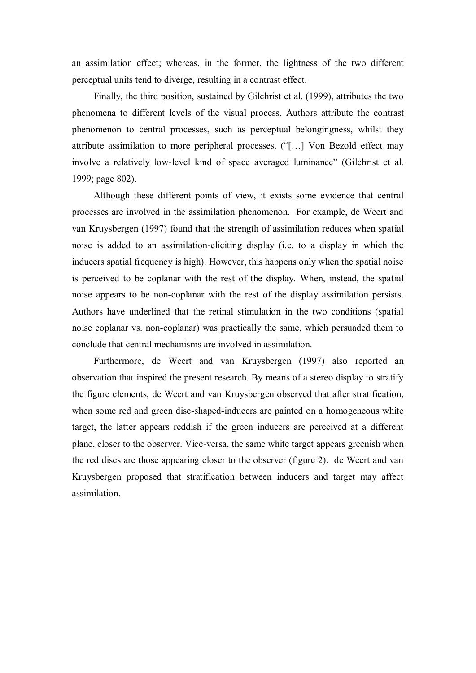an assimilation effect; whereas, in the former, the lightness of the two different perceptual units tend to diverge, resulting in a contrast effect.

Finally, the third position, sustained by Gilchrist et al. (1999), attributes the two phenomena to different levels of the visual process. Authors attribute the contrast phenomenon to central processes, such as perceptual belongingness, whilst they attribute assimilation to more peripheral processes. ("[...] Von Bezold effect may involve a relatively low-level kind of space averaged luminance" (Gilchrist et al. 1999; page 802).

Although these different points of view, it exists some evidence that central processes are involved in the assimilation phenomenon. For example, de Weert and van Kruysbergen (1997) found that the strength of assimilation reduces when spatial noise is added to an assimilation-eliciting display (i.e. to a display in which the inducers spatial frequency is high). However, this happens only when the spatial noise is perceived to be coplanar with the rest of the display. When, instead, the spatial noise appears to be non-coplanar with the rest of the display assimilation persists. Authors have underlined that the retinal stimulation in the two conditions (spatial noise coplanar vs. non-coplanar) was practically the same, which persuaded them to conclude that central mechanisms are involved in assimilation.

Furthermore, de Weert and van Kruysbergen (1997) also reported an observation that inspired the present research. By means of a stereo display to stratify the figure elements, de Weert and van Kruysbergen observed that after stratification, when some red and green disc-shaped-inducers are painted on a homogeneous white target, the latter appears reddish if the green inducers are perceived at a different plane, closer to the observer. Vice-versa, the same white target appears greenish when the red discs are those appearing closer to the observer (figure 2). de Weert and van Kruysbergen proposed that stratification between inducers and target may affect assimilation.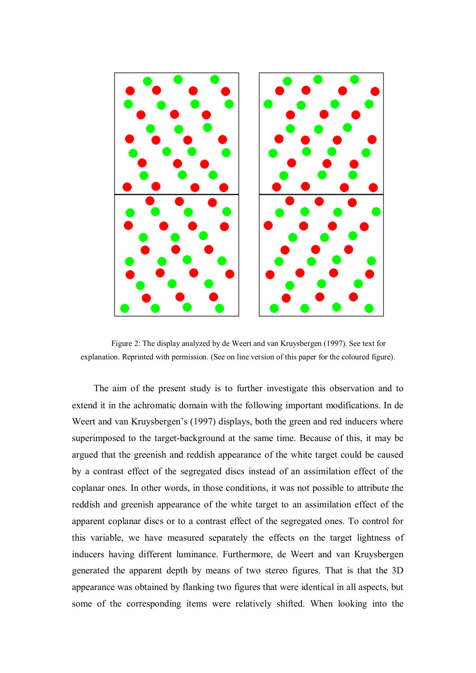

Figure 2: The display analyzed by de Weert and van Kruysbergen (1997). See text for explanation. Reprinted with permission. (See on line version of this paper for the coloured figure).

The aim of the present study is to further investigate this observation and to extend it in the achromatic domain with the following important modifications. In de Weert and van Kruysbergen's (1997) displays, both the green and red inducers where superimposed to the target-background at the same time. Because of this, it may be argued that the greenish and reddish appearance of the white target could be caused by a contrast effect of the segregated discs instead of an assimilation effect of the coplanar ones. In other words, in those conditions, it was not possible to attribute the reddish and greenish appearance of the white target to an assimilation effect of the apparent coplanar discs or to a contrast effect of the segregated ones. To control for this variable, we have measured separately the effects on the target lightness of inducers having different luminance. Furthermore, de Weert and van Kruysbergen generated the apparent depth by means of two stereo figures. That is that the 3D appearance was obtained by flanking two figures that were identical in all aspects, but some of the corresponding items were relatively shifted. When looking into the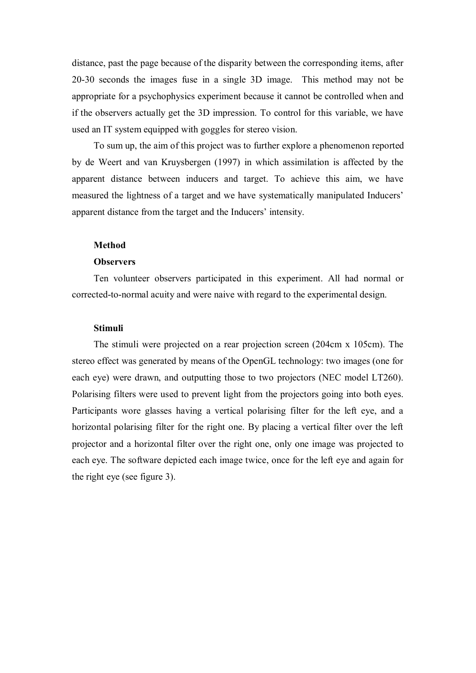distance, past the page because of the disparity between the corresponding items, after 20-30 seconds the images fuse in a single 3D image. This method may not be appropriate for a psychophysics experiment because it cannot be controlled when and if the observers actually get the 3D impression. To control for this variable, we have used an IT system equipped with goggles for stereo vision.

To sum up, the aim of this project was to further explore a phenomenon reported by de Weert and van Kruysbergen (1997) in which assimilation is affected by the apparent distance between inducers and target. To achieve this aim, we have measured the lightness of a target and we have systematically manipulated Inducers' apparent distance from the target and the Inducers' intensity.

#### **Method**

#### **Observers**

Ten volunteer observers participated in this experiment. All had normal or corrected-to-normal acuity and were naive with regard to the experimental design.

#### **Stimuli**

The stimuli were projected on a rear projection screen (204cm x 105cm). The stereo effect was generated by means of the OpenGL technology: two images (one for each eye) were drawn, and outputting those to two projectors (NEC model LT260). Polarising filters were used to prevent light from the projectors going into both eyes. Participants wore glasses having a vertical polarising filter for the left eye, and a horizontal polarising filter for the right one. By placing a vertical filter over the left projector and a horizontal filter over the right one, only one image was projected to each eye. The software depicted each image twice, once for the left eye and again for the right eye (see figure 3).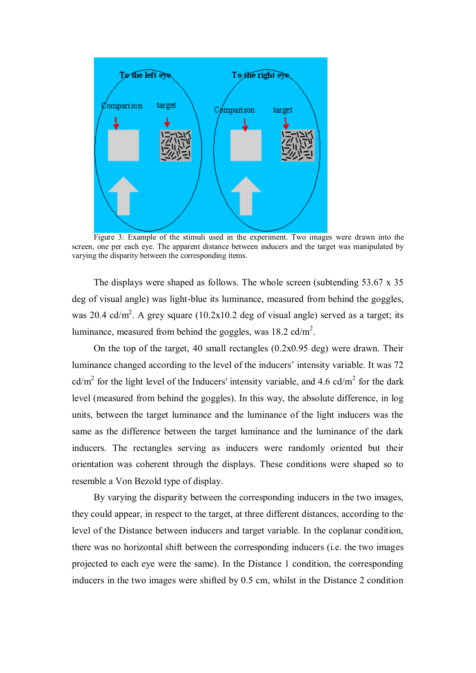

Figure 3: Example of the stimuli used in the experiment. Two images were drawn into the screen, one per each eye. The apparent distance between inducers and the target was manipulated by varying the disparity between the corresponding items.

The displays were shaped as follows. The whole screen (subtending 53.67 x 35 deg of visual angle) was light-blue its luminance, measured from behind the goggles, was 20.4 cd/m<sup>2</sup>. A grey square (10.2x10.2 deg of visual angle) served as a target; its luminance, measured from behind the goggles, was  $18.2$  cd/m<sup>2</sup>.

On the top of the target, 40 small rectangles (0.2x0.95 deg) were drawn. Their luminance changed according to the level of the inducers' intensity variable. It was 72 cd/m<sup>2</sup> for the light level of the Inducers' intensity variable, and 4.6 cd/m<sup>2</sup> for the dark level (measured from behind the goggles). In this way, the absolute difference, in log units, between the target luminance and the luminance of the light inducers was the same as the difference between the target luminance and the luminance of the dark inducers. The rectangles serving as inducers were randomly oriented but their orientation was coherent through the displays. These conditions were shaped so to resemble a Von Bezold type of display.

By varying the disparity between the corresponding inducers in the two images, they could appear, in respect to the target, at three different distances, according to the level of the Distance between inducers and target variable. In the coplanar condition, there was no horizontal shift between the corresponding inducers (i.e. the two images projected to each eye were the same). In the Distance 1 condition, the corresponding inducers in the two images were shifted by 0.5 cm, whilst in the Distance 2 condition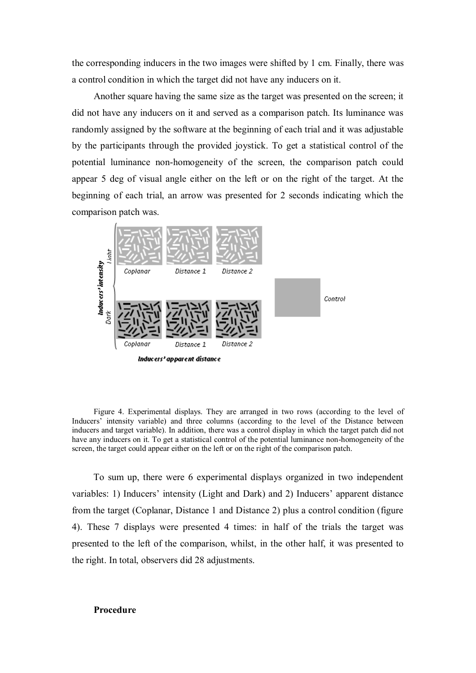the corresponding inducers in the two images were shifted by 1 cm. Finally, there was a control condition in which the target did not have any inducers on it.

Another square having the same size as the target was presented on the screen; it did not have any inducers on it and served as a comparison patch. Its luminance was randomly assigned by the software at the beginning of each trial and it was adjustable by the participants through the provided joystick. To get a statistical control of the potential luminance non-homogeneity of the screen, the comparison patch could appear 5 deg of visual angle either on the left or on the right of the target. At the beginning of each trial, an arrow was presented for 2 seconds indicating which the comparison patch was.



Figure 4. Experimental displays. They are arranged in two rows (according to the level of Inducers' intensity variable) and three columns (according to the level of the Distance between inducers and target variable). In addition, there was a control display in which the target patch did not have any inducers on it. To get a statistical control of the potential luminance non-homogeneity of the screen, the target could appear either on the left or on the right of the comparison patch.

To sum up, there were 6 experimental displays organized in two independent variables: 1) Inducers' intensity (Light and Dark) and 2) Inducers' apparent distance from the target (Coplanar, Distance 1 and Distance 2) plus a control condition (figure 4). These 7 displays were presented 4 times: in half of the trials the target was presented to the left of the comparison, whilst, in the other half, it was presented to the right. In total, observers did 28 adjustments.

#### **Procedure**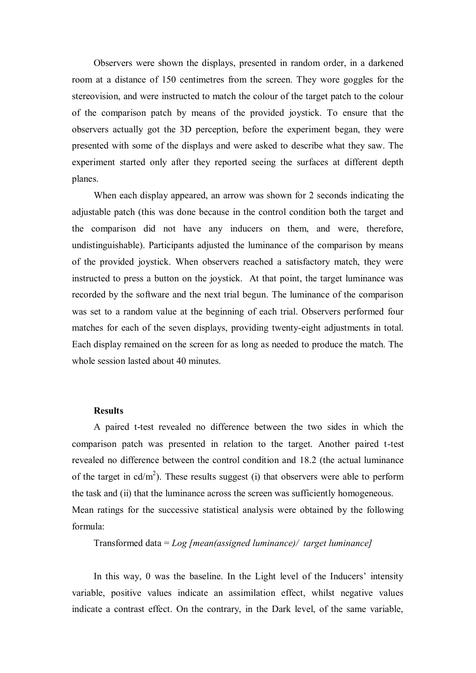Observers were shown the displays, presented in random order, in a darkened room at a distance of 150 centimetres from the screen. They wore goggles for the stereovision, and were instructed to match the colour of the target patch to the colour of the comparison patch by means of the provided joystick. To ensure that the observers actually got the 3D perception, before the experiment began, they were presented with some of the displays and were asked to describe what they saw. The experiment started only after they reported seeing the surfaces at different depth planes.

When each display appeared, an arrow was shown for 2 seconds indicating the adjustable patch (this was done because in the control condition both the target and the comparison did not have any inducers on them, and were, therefore, undistinguishable). Participants adjusted the luminance of the comparison by means of the provided joystick. When observers reached a satisfactory match, they were instructed to press a button on the joystick. At that point, the target luminance was recorded by the software and the next trial begun. The luminance of the comparison was set to a random value at the beginning of each trial. Observers performed four matches for each of the seven displays, providing twenty-eight adjustments in total. Each display remained on the screen for as long as needed to produce the match. The whole session lasted about 40 minutes.

#### **Results**

A paired t-test revealed no difference between the two sides in which the comparison patch was presented in relation to the target. Another paired t-test revealed no difference between the control condition and 18.2 (the actual luminance of the target in  $cd/m<sup>2</sup>$ ). These results suggest (i) that observers were able to perform the task and (ii) that the luminance across the screen was sufficiently homogeneous. Mean ratings for the successive statistical analysis were obtained by the following formula:

Transformed data = *Log [mean(assigned luminance)/ target luminance]*

In this way, 0 was the baseline. In the Light level of the Inducers' intensity variable, positive values indicate an assimilation effect, whilst negative values indicate a contrast effect. On the contrary, in the Dark level, of the same variable,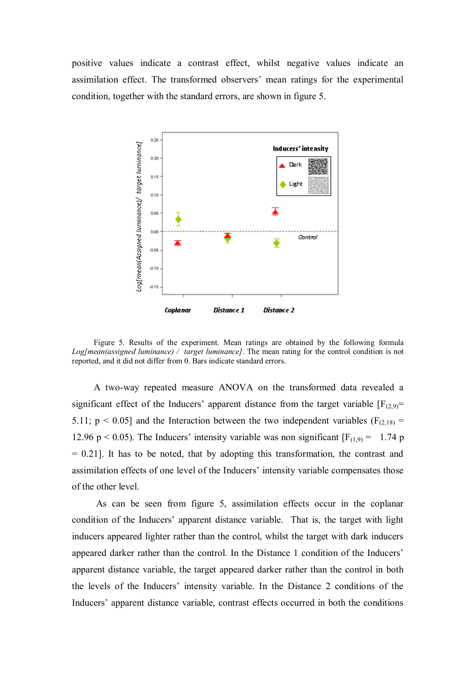positive values indicate a contrast effect, whilst negative values indicate an assimilation effect. The transformed observers' mean ratings for the experimental condition, together with the standard errors, are shown in figure 5.



Figure 5. Results of the experiment. Mean ratings are obtained by the following formula *Log[mean(assigned luminance) / target luminance]*. The mean rating for the control condition is not reported, and it did not differ from 0. Bars indicate standard errors.

A two-way repeated measure ANOVA on the transformed data revealed a significant effect of the Inducers' apparent distance from the target variable  $[F_{(2,9)}=$ 5.11;  $p < 0.05$ ] and the Interaction between the two independent variables ( $F<sub>(2,18)</sub>$  = 12.96 p < 0.05). The Inducers' intensity variable was non significant  $[F_{(1,9)} = 1.74$  p  $= 0.21$ ]. It has to be noted, that by adopting this transformation, the contrast and assimilation effects of one level of the Inducers' intensity variable compensates those of the other level.

As can be seen from figure 5, assimilation effects occur in the coplanar condition of the Inducers' apparent distance variable. That is, the target with light inducers appeared lighter rather than the control, whilst the target with dark inducers appeared darker rather than the control. In the Distance 1 condition of the Inducers' apparent distance variable, the target appeared darker rather than the control in both the levels of the Inducers' intensity variable. In the Distance 2 conditions of the Inducers' apparent distance variable, contrast effects occurred in both the conditions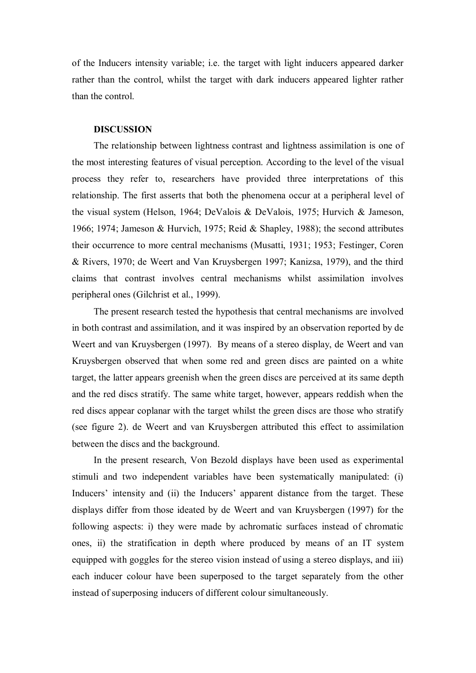of the Inducers intensity variable; i.e. the target with light inducers appeared darker rather than the control, whilst the target with dark inducers appeared lighter rather than the control.

# **DISCUSSION**

The relationship between lightness contrast and lightness assimilation is one of the most interesting features of visual perception. According to the level of the visual process they refer to, researchers have provided three interpretations of this relationship. The first asserts that both the phenomena occur at a peripheral level of the visual system (Helson, 1964; DeValois & DeValois, 1975; Hurvich & Jameson, 1966; 1974; Jameson & Hurvich, 1975; Reid & Shapley, 1988); the second attributes their occurrence to more central mechanisms (Musatti, 1931; 1953; Festinger, Coren & Rivers, 1970; de Weert and Van Kruysbergen 1997; Kanizsa, 1979), and the third claims that contrast involves central mechanisms whilst assimilation involves peripheral ones (Gilchrist et al., 1999).

The present research tested the hypothesis that central mechanisms are involved in both contrast and assimilation, and it was inspired by an observation reported by de Weert and van Kruysbergen (1997). By means of a stereo display, de Weert and van Kruysbergen observed that when some red and green discs are painted on a white target, the latter appears greenish when the green discs are perceived at its same depth and the red discs stratify. The same white target, however, appears reddish when the red discs appear coplanar with the target whilst the green discs are those who stratify (see figure 2). de Weert and van Kruysbergen attributed this effect to assimilation between the discs and the background.

In the present research, Von Bezold displays have been used as experimental stimuli and two independent variables have been systematically manipulated: (i) Inducers' intensity and (ii) the Inducers' apparent distance from the target. These displays differ from those ideated by de Weert and van Kruysbergen (1997) for the following aspects: i) they were made by achromatic surfaces instead of chromatic ones, ii) the stratification in depth where produced by means of an IT system equipped with goggles for the stereo vision instead of using a stereo displays, and iii) each inducer colour have been superposed to the target separately from the other instead of superposing inducers of different colour simultaneously.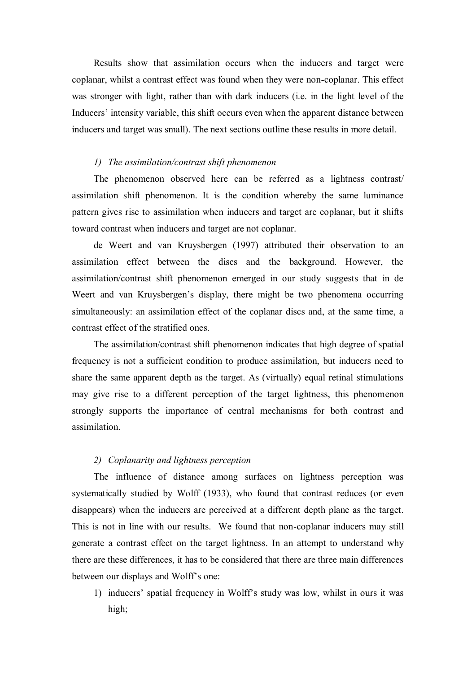Results show that assimilation occurs when the inducers and target were coplanar, whilst a contrast effect was found when they were non-coplanar. This effect was stronger with light, rather than with dark inducers (i.e. in the light level of the Inducers' intensity variable, this shift occurs even when the apparent distance between inducers and target was small). The next sections outline these results in more detail.

## *1) The assimilation/contrast shift phenomenon*

The phenomenon observed here can be referred as a lightness contrast/ assimilation shift phenomenon. It is the condition whereby the same luminance pattern gives rise to assimilation when inducers and target are coplanar, but it shifts toward contrast when inducers and target are not coplanar.

de Weert and van Kruysbergen (1997) attributed their observation to an assimilation effect between the discs and the background. However, the assimilation/contrast shift phenomenon emerged in our study suggests that in de Weert and van Kruysbergen's display, there might be two phenomena occurring simultaneously: an assimilation effect of the coplanar discs and, at the same time, a contrast effect of the stratified ones.

The assimilation/contrast shift phenomenon indicates that high degree of spatial frequency is not a sufficient condition to produce assimilation, but inducers need to share the same apparent depth as the target. As (virtually) equal retinal stimulations may give rise to a different perception of the target lightness, this phenomenon strongly supports the importance of central mechanisms for both contrast and assimilation.

# *2) Coplanarity and lightness perception*

The influence of distance among surfaces on lightness perception was systematically studied by Wolff (1933), who found that contrast reduces (or even disappears) when the inducers are perceived at a different depth plane as the target. This is not in line with our results. We found that non-coplanar inducers may still generate a contrast effect on the target lightness. In an attempt to understand why there are these differences, it has to be considered that there are three main differences between our displays and Wolff's one:

1) inducers' spatial frequency in Wolff's study was low, whilst in ours it was high;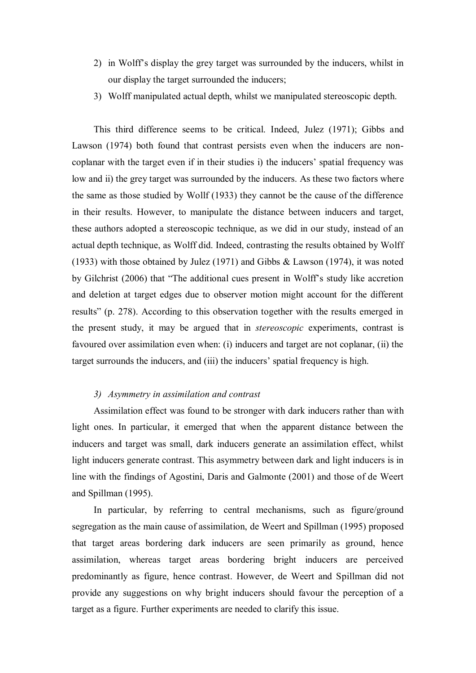- 2) in Wolff's display the grey target was surrounded by the inducers, whilst in our display the target surrounded the inducers;
- 3) Wolff manipulated actual depth, whilst we manipulated stereoscopic depth.

This third difference seems to be critical. Indeed, Julez (1971); Gibbs and Lawson (1974) both found that contrast persists even when the inducers are noncoplanar with the target even if in their studies i) the inducers' spatial frequency was low and ii) the grey target was surrounded by the inducers. As these two factors where the same as those studied by Wollf (1933) they cannot be the cause of the difference in their results. However, to manipulate the distance between inducers and target, these authors adopted a stereoscopic technique, as we did in our study, instead of an actual depth technique, as Wolff did. Indeed, contrasting the results obtained by Wolff (1933) with those obtained by Julez (1971) and Gibbs & Lawson (1974), it was noted by Gilchrist (2006) that "The additional cues present in Wolff's study like accretion and deletion at target edges due to observer motion might account for the different results" (p. 278). According to this observation together with the results emerged in the present study, it may be argued that in *stereoscopic* experiments, contrast is favoured over assimilation even when: (i) inducers and target are not coplanar, (ii) the target surrounds the inducers, and (iii) the inducers' spatial frequency is high.

### *3) Asymmetry in assimilation and contrast*

Assimilation effect was found to be stronger with dark inducers rather than with light ones. In particular, it emerged that when the apparent distance between the inducers and target was small, dark inducers generate an assimilation effect, whilst light inducers generate contrast. This asymmetry between dark and light inducers is in line with the findings of Agostini, Daris and Galmonte (2001) and those of de Weert and Spillman (1995).

In particular, by referring to central mechanisms, such as figure/ground segregation as the main cause of assimilation, de Weert and Spillman (1995) proposed that target areas bordering dark inducers are seen primarily as ground, hence assimilation, whereas target areas bordering bright inducers are perceived predominantly as figure, hence contrast. However, de Weert and Spillman did not provide any suggestions on why bright inducers should favour the perception of a target as a figure. Further experiments are needed to clarify this issue.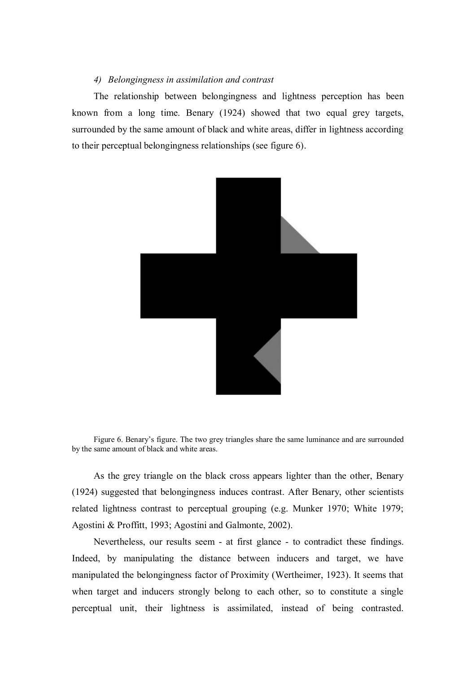## *4) Belongingness in assimilation and contrast*

The relationship between belongingness and lightness perception has been known from a long time. Benary (1924) showed that two equal grey targets, surrounded by the same amount of black and white areas, differ in lightness according to their perceptual belongingness relationships (see figure 6).



Figure 6. Benary's figure. The two grey triangles share the same luminance and are surrounded by the same amount of black and white areas.

As the grey triangle on the black cross appears lighter than the other, Benary (1924) suggested that belongingness induces contrast. After Benary, other scientists related lightness contrast to perceptual grouping (e.g. Munker 1970; White 1979; Agostini & Proffitt, 1993; Agostini and Galmonte, 2002).

Nevertheless, our results seem - at first glance - to contradict these findings. Indeed, by manipulating the distance between inducers and target, we have manipulated the belongingness factor of Proximity (Wertheimer, 1923). It seems that when target and inducers strongly belong to each other, so to constitute a single perceptual unit, their lightness is assimilated, instead of being contrasted.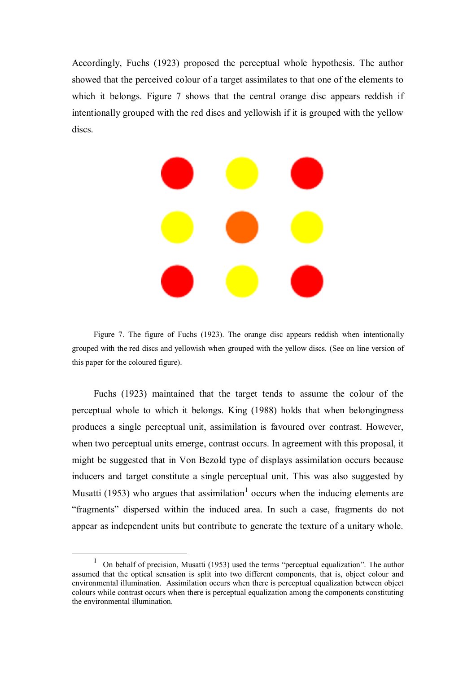Accordingly, Fuchs (1923) proposed the perceptual whole hypothesis. The author showed that the perceived colour of a target assimilates to that one of the elements to which it belongs. Figure 7 shows that the central orange disc appears reddish if intentionally grouped with the red discs and yellowish if it is grouped with the yellow discs.



Figure 7. The figure of Fuchs (1923). The orange disc appears reddish when intentionally grouped with the red discs and yellowish when grouped with the yellow discs. (See on line version of this paper for the coloured figure).

Fuchs (1923) maintained that the target tends to assume the colour of the perceptual whole to which it belongs. King (1988) holds that when belongingness produces a single perceptual unit, assimilation is favoured over contrast. However, when two perceptual units emerge, contrast occurs. In agreement with this proposal, it might be suggested that in Von Bezold type of displays assimilation occurs because inducers and target constitute a single perceptual unit. This was also suggested by Musatti (1953) who argues that assimilation<sup>1</sup> occurs when the inducing elements are ―fragments‖ dispersed within the induced area. In such a case, fragments do not appear as independent units but contribute to generate the texture of a unitary whole.

<u>.</u>

<sup>1</sup> On behalf of precision, Musatti (1953) used the terms "perceptual equalization". The author assumed that the optical sensation is split into two different components, that is, object colour and environmental illumination. Assimilation occurs when there is perceptual equalization between object colours while contrast occurs when there is perceptual equalization among the components constituting the environmental illumination.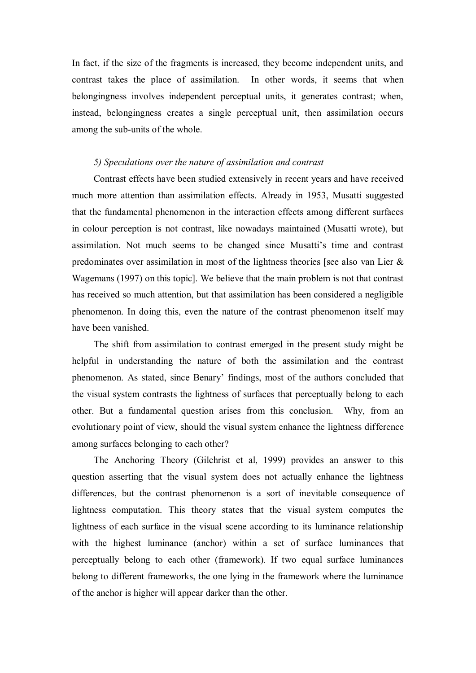In fact, if the size of the fragments is increased, they become independent units, and contrast takes the place of assimilation. In other words, it seems that when belongingness involves independent perceptual units, it generates contrast; when, instead, belongingness creates a single perceptual unit, then assimilation occurs among the sub-units of the whole.

# *5) Speculations over the nature of assimilation and contrast*

Contrast effects have been studied extensively in recent years and have received much more attention than assimilation effects. Already in 1953, Musatti suggested that the fundamental phenomenon in the interaction effects among different surfaces in colour perception is not contrast, like nowadays maintained (Musatti wrote), but assimilation. Not much seems to be changed since Musatti's time and contrast predominates over assimilation in most of the lightness theories [see also van Lier & Wagemans (1997) on this topic]. We believe that the main problem is not that contrast has received so much attention, but that assimilation has been considered a negligible phenomenon. In doing this, even the nature of the contrast phenomenon itself may have been vanished.

The shift from assimilation to contrast emerged in the present study might be helpful in understanding the nature of both the assimilation and the contrast phenomenon. As stated, since Benary' findings, most of the authors concluded that the visual system contrasts the lightness of surfaces that perceptually belong to each other. But a fundamental question arises from this conclusion. Why, from an evolutionary point of view, should the visual system enhance the lightness difference among surfaces belonging to each other?

The Anchoring Theory (Gilchrist et al, 1999) provides an answer to this question asserting that the visual system does not actually enhance the lightness differences, but the contrast phenomenon is a sort of inevitable consequence of lightness computation. This theory states that the visual system computes the lightness of each surface in the visual scene according to its luminance relationship with the highest luminance (anchor) within a set of surface luminances that perceptually belong to each other (framework). If two equal surface luminances belong to different frameworks, the one lying in the framework where the luminance of the anchor is higher will appear darker than the other.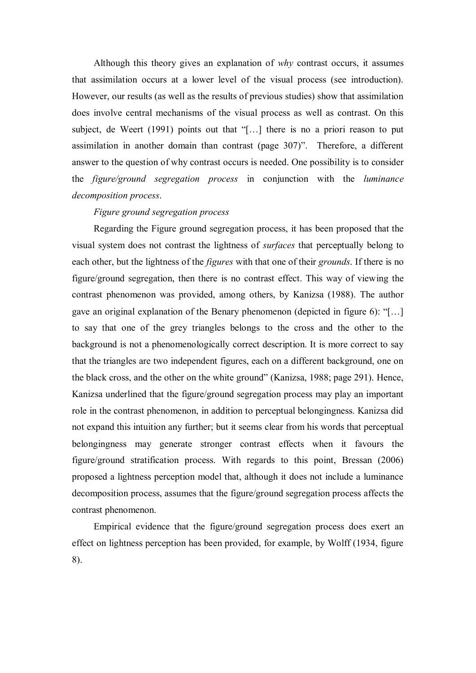Although this theory gives an explanation of *why* contrast occurs, it assumes that assimilation occurs at a lower level of the visual process (see introduction). However, our results (as well as the results of previous studies) show that assimilation does involve central mechanisms of the visual process as well as contrast. On this subject, de Weert  $(1991)$  points out that "[...] there is no a priori reason to put assimilation in another domain than contrast (page 307)". Therefore, a different answer to the question of why contrast occurs is needed. One possibility is to consider the *figure/ground segregation process* in conjunction with the *luminance decomposition process*.

# *Figure ground segregation process*

Regarding the Figure ground segregation process, it has been proposed that the visual system does not contrast the lightness of *surfaces* that perceptually belong to each other, but the lightness of the *figures* with that one of their *grounds*. If there is no figure/ground segregation, then there is no contrast effect. This way of viewing the contrast phenomenon was provided, among others, by Kanizsa (1988). The author gave an original explanation of the Benary phenomenon (depicted in figure 6):  $\lq$ ...] to say that one of the grey triangles belongs to the cross and the other to the background is not a phenomenologically correct description. It is more correct to say that the triangles are two independent figures, each on a different background, one on the black cross, and the other on the white ground" (Kanizsa, 1988; page 291). Hence, Kanizsa underlined that the figure/ground segregation process may play an important role in the contrast phenomenon, in addition to perceptual belongingness. Kanizsa did not expand this intuition any further; but it seems clear from his words that perceptual belongingness may generate stronger contrast effects when it favours the figure/ground stratification process. With regards to this point, Bressan (2006) proposed a lightness perception model that, although it does not include a luminance decomposition process, assumes that the figure/ground segregation process affects the contrast phenomenon.

Empirical evidence that the figure/ground segregation process does exert an effect on lightness perception has been provided, for example, by Wolff (1934, figure 8).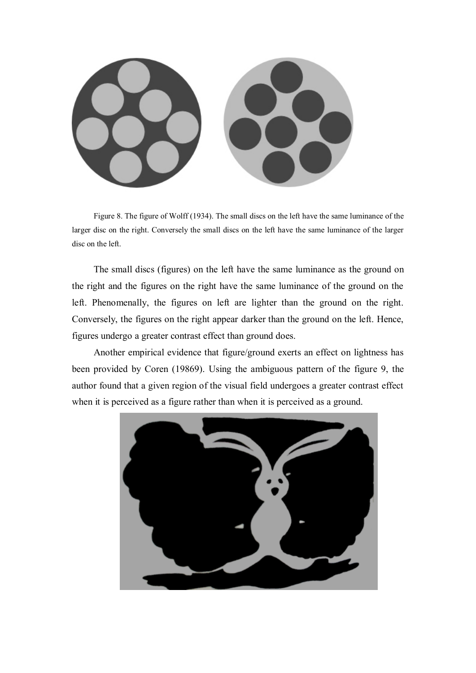

Figure 8. The figure of Wolff (1934). The small discs on the left have the same luminance of the larger disc on the right. Conversely the small discs on the left have the same luminance of the larger disc on the left.

The small discs (figures) on the left have the same luminance as the ground on the right and the figures on the right have the same luminance of the ground on the left. Phenomenally, the figures on left are lighter than the ground on the right. Conversely, the figures on the right appear darker than the ground on the left. Hence, figures undergo a greater contrast effect than ground does.

Another empirical evidence that figure/ground exerts an effect on lightness has been provided by Coren (19869). Using the ambiguous pattern of the figure 9, the author found that a given region of the visual field undergoes a greater contrast effect when it is perceived as a figure rather than when it is perceived as a ground.

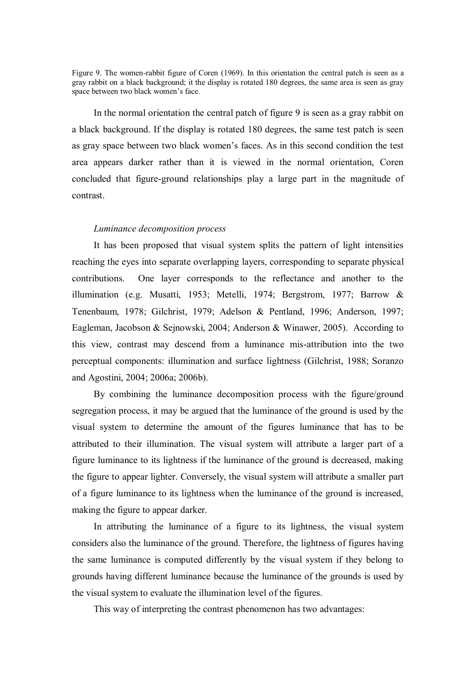Figure 9. The women-rabbit figure of Coren (1969). In this orientation the central patch is seen as a gray rabbit on a black background; it the display is rotated 180 degrees, the same area is seen as gray space between two black women's face.

In the normal orientation the central patch of figure 9 is seen as a gray rabbit on a black background. If the display is rotated 180 degrees, the same test patch is seen as gray space between two black women's faces. As in this second condition the test area appears darker rather than it is viewed in the normal orientation, Coren concluded that figure-ground relationships play a large part in the magnitude of contrast.

#### *Luminance decomposition process*

It has been proposed that visual system splits the pattern of light intensities reaching the eyes into separate overlapping layers, corresponding to separate physical contributions. One layer corresponds to the reflectance and another to the illumination (e.g. Musatti, 1953; Metelli, 1974; Bergstrom, 1977; Barrow & Tenenbaum, 1978; Gilchrist, 1979; Adelson & Pentland, 1996; Anderson, 1997; Eagleman, Jacobson & Sejnowski, 2004; Anderson & Winawer, 2005). According to this view, contrast may descend from a luminance mis-attribution into the two perceptual components: illumination and surface lightness (Gilchrist, 1988; Soranzo and Agostini, 2004; 2006a; 2006b).

By combining the luminance decomposition process with the figure/ground segregation process, it may be argued that the luminance of the ground is used by the visual system to determine the amount of the figures luminance that has to be attributed to their illumination. The visual system will attribute a larger part of a figure luminance to its lightness if the luminance of the ground is decreased, making the figure to appear lighter. Conversely, the visual system will attribute a smaller part of a figure luminance to its lightness when the luminance of the ground is increased, making the figure to appear darker.

In attributing the luminance of a figure to its lightness, the visual system considers also the luminance of the ground. Therefore, the lightness of figures having the same luminance is computed differently by the visual system if they belong to grounds having different luminance because the luminance of the grounds is used by the visual system to evaluate the illumination level of the figures.

This way of interpreting the contrast phenomenon has two advantages: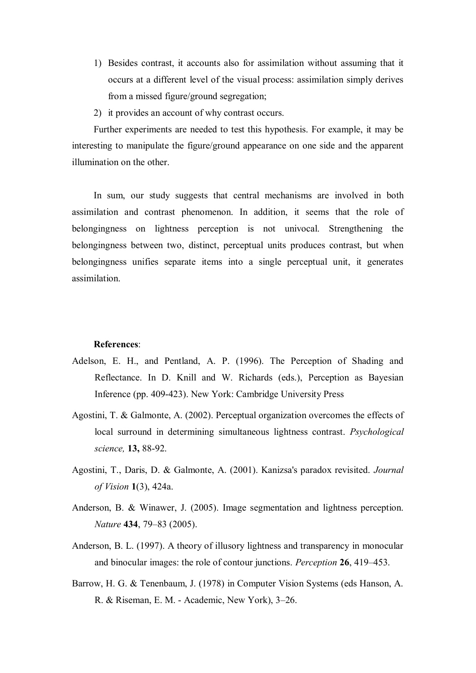- 1) Besides contrast, it accounts also for assimilation without assuming that it occurs at a different level of the visual process: assimilation simply derives from a missed figure/ground segregation;
- 2) it provides an account of why contrast occurs.

Further experiments are needed to test this hypothesis. For example, it may be interesting to manipulate the figure/ground appearance on one side and the apparent illumination on the other.

In sum, our study suggests that central mechanisms are involved in both assimilation and contrast phenomenon. In addition, it seems that the role of belongingness on lightness perception is not univocal. Strengthening the belongingness between two, distinct, perceptual units produces contrast, but when belongingness unifies separate items into a single perceptual unit, it generates assimilation.

#### **References**:

- Adelson, E. H., and Pentland, A. P. (1996). The Perception of Shading and Reflectance. In D. Knill and W. Richards (eds.), Perception as Bayesian Inference (pp. 409-423). New York: Cambridge University Press
- Agostini, T. & Galmonte, A. (2002). Perceptual organization overcomes the effects of local surround in determining simultaneous lightness contrast. *Psychological science,* **13,** 88-92.
- Agostini, T., Daris, D. & Galmonte, A. (2001). Kanizsa's paradox revisited. *Journal of Vision* **1**(3), 424a.
- Anderson, B. & Winawer, J. (2005). Image segmentation and lightness perception. *Nature* **434**, 79–83 (2005).
- Anderson, B. L. (1997). A theory of illusory lightness and transparency in monocular and binocular images: the role of contour junctions. *Perception* **26**, 419–453.
- Barrow, H. G. & Tenenbaum, J. (1978) in Computer Vision Systems (eds Hanson, A. R. & Riseman, E. M. - Academic, New York), 3–26.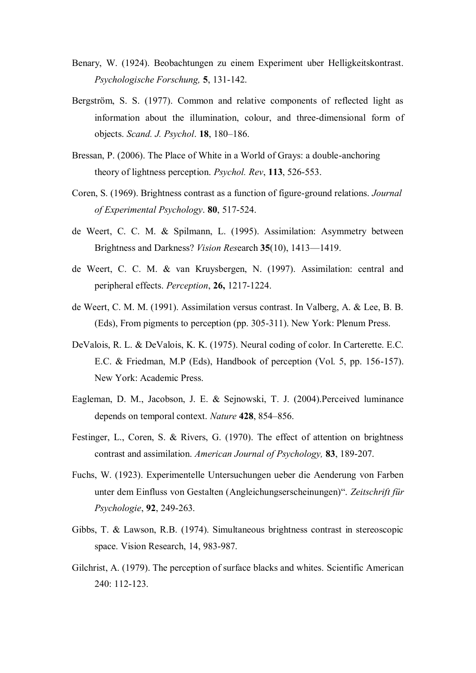- Benary, W. (1924). Beobachtungen zu einem Experiment uber Helligkeitskontrast. *Psychologische Forschung,* **5**, 131-142.
- Bergström, S. S. (1977). Common and relative components of reflected light as information about the illumination, colour, and three-dimensional form of objects. *Scand. J. Psychol*. **18**, 180–186.
- Bressan, P. (2006). The Place of White in a World of Grays: a double-anchoring theory of lightness perception. *Psychol. Rev*, **113**, 526-553.
- Coren, S. (1969). Brightness contrast as a function of figure-ground relations. *Journal of Experimental Psychology*. **80**, 517-524.
- de Weert, C. C. M. & Spilmann, L. (1995). Assimilation: Asymmetry between Brightness and Darkness? *Vision Res*earch **35**(10), 1413—1419.
- de Weert, C. C. M. & van Kruysbergen, N. (1997). Assimilation: central and peripheral effects. *Perception*, **26,** 1217-1224.
- de Weert, C. M. M. (1991). Assimilation versus contrast. In Valberg, A. & Lee, B. B. (Eds), From pigments to perception (pp. 305-311). New York: Plenum Press.
- DeValois, R. L. & DeValois, K. K. (1975). Neural coding of color. In Carterette. E.C. E.C. & Friedman, M.P (Eds), Handbook of perception (Vol. 5, pp. 156-157). New York: Academic Press.
- Eagleman, D. M., Jacobson, J. E. & Sejnowski, T. J. (2004).Perceived luminance depends on temporal context. *Nature* **428**, 854–856.
- Festinger, L., Coren, S. & Rivers, G. (1970). The effect of attention on brightness contrast and assimilation. *American Journal of Psychology,* **83**, 189-207.
- Fuchs, W. (1923). Experimentelle Untersuchungen ueber die Aenderung von Farben unter dem Einfluss von Gestalten (Angleichungserscheinungen)". Zeitschrift für *Psychologie*, **92**, 249-263.
- Gibbs, T. & Lawson, R.B. (1974). Simultaneous brightness contrast in stereoscopic space. Vision Research, 14, 983-987.
- Gilchrist, A. (1979). The perception of surface blacks and whites. Scientific American 240: 112-123.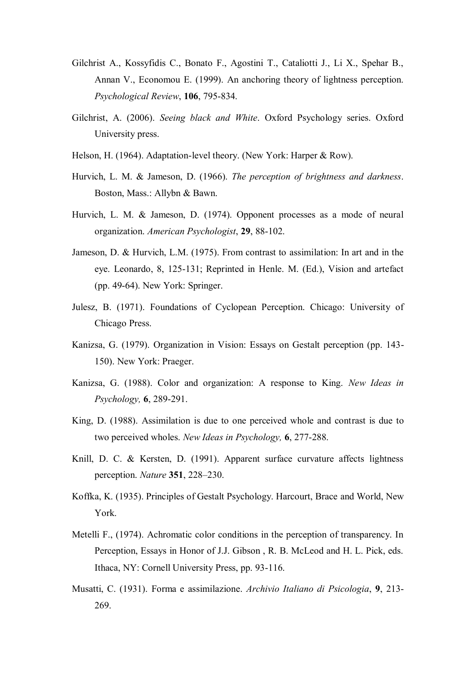- Gilchrist A., Kossyfidis C., Bonato F., Agostini T., Cataliotti J., Li X., Spehar B., Annan V., Economou E. (1999). An anchoring theory of lightness perception. *Psychological Review*, **106**, 795-834.
- Gilchrist, A. (2006). *Seeing black and White*. Oxford Psychology series. Oxford University press.
- Helson, H. (1964). Adaptation-level theory. (New York: Harper & Row).
- Hurvich, L. M. & Jameson, D. (1966). *The perception of brightness and darkness*. Boston, Mass.: Allybn & Bawn.
- Hurvich, L. M. & Jameson, D. (1974). Opponent processes as a mode of neural organization. *American Psychologist*, **29**, 88-102.
- Jameson, D. & Hurvich, L.M. (1975). From contrast to assimilation: In art and in the eye. Leonardo, 8, 125-131; Reprinted in Henle. M. (Ed.), Vision and artefact (pp. 49-64). New York: Springer.
- Julesz, B. (1971). Foundations of Cyclopean Perception. Chicago: University of Chicago Press.
- Kanizsa, G. (1979). Organization in Vision: Essays on Gestalt perception (pp. 143- 150). New York: Praeger.
- Kanizsa, G. (1988). Color and organization: A response to King. *New Ideas in Psychology,* **6**, 289-291.
- King, D. (1988). Assimilation is due to one perceived whole and contrast is due to two perceived wholes. *New Ideas in Psychology,* **6**, 277-288.
- Knill, D. C. & Kersten, D. (1991). Apparent surface curvature affects lightness perception. *Nature* **351**, 228–230.
- Koffka, K. (1935). Principles of Gestalt Psychology. Harcourt, Brace and World, New York.
- Metelli F., (1974). Achromatic color conditions in the perception of transparency. In Perception, Essays in Honor of J.J. Gibson , R. B. McLeod and H. L. Pick, eds. Ithaca, NY: Cornell University Press, pp. 93-116.
- Musatti, C. (1931). Forma e assimilazione. *Archivio Italiano di Psicologia*, **9**, 213- 269.